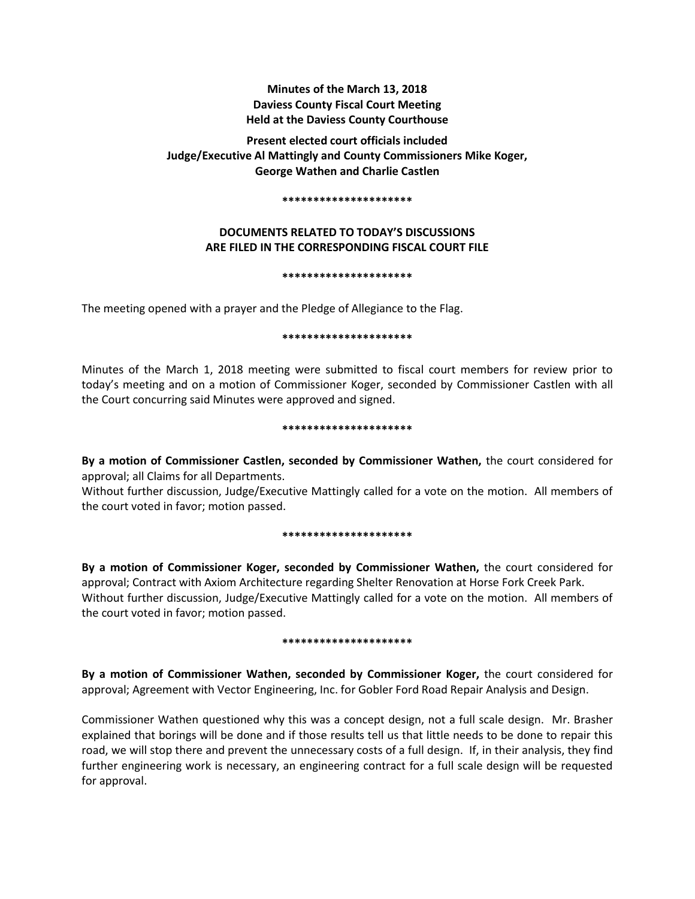## **Minutes of the March 13, 2018 Daviess County Fiscal Court Meeting Held at the Daviess County Courthouse**

# **Present elected court officials included Judge/Executive Al Mattingly and County Commissioners Mike Koger, George Wathen and Charlie Castlen**

#### **\*\*\*\*\*\*\*\*\*\*\*\*\*\*\*\*\*\*\*\*\***

## **DOCUMENTS RELATED TO TODAY'S DISCUSSIONS ARE FILED IN THE CORRESPONDING FISCAL COURT FILE**

#### **\*\*\*\*\*\*\*\*\*\*\*\*\*\*\*\*\*\*\*\*\***

The meeting opened with a prayer and the Pledge of Allegiance to the Flag.

### **\*\*\*\*\*\*\*\*\*\*\*\*\*\*\*\*\*\*\*\*\***

Minutes of the March 1, 2018 meeting were submitted to fiscal court members for review prior to today's meeting and on a motion of Commissioner Koger, seconded by Commissioner Castlen with all the Court concurring said Minutes were approved and signed.

#### **\*\*\*\*\*\*\*\*\*\*\*\*\*\*\*\*\*\*\*\*\***

**By a motion of Commissioner Castlen, seconded by Commissioner Wathen,** the court considered for approval; all Claims for all Departments.

Without further discussion, Judge/Executive Mattingly called for a vote on the motion. All members of the court voted in favor; motion passed.

#### **\*\*\*\*\*\*\*\*\*\*\*\*\*\*\*\*\*\*\*\*\***

**By a motion of Commissioner Koger, seconded by Commissioner Wathen,** the court considered for approval; Contract with Axiom Architecture regarding Shelter Renovation at Horse Fork Creek Park. Without further discussion, Judge/Executive Mattingly called for a vote on the motion. All members of the court voted in favor; motion passed.

## **\*\*\*\*\*\*\*\*\*\*\*\*\*\*\*\*\*\*\*\*\***

**By a motion of Commissioner Wathen, seconded by Commissioner Koger,** the court considered for approval; Agreement with Vector Engineering, Inc. for Gobler Ford Road Repair Analysis and Design.

Commissioner Wathen questioned why this was a concept design, not a full scale design. Mr. Brasher explained that borings will be done and if those results tell us that little needs to be done to repair this road, we will stop there and prevent the unnecessary costs of a full design. If, in their analysis, they find further engineering work is necessary, an engineering contract for a full scale design will be requested for approval.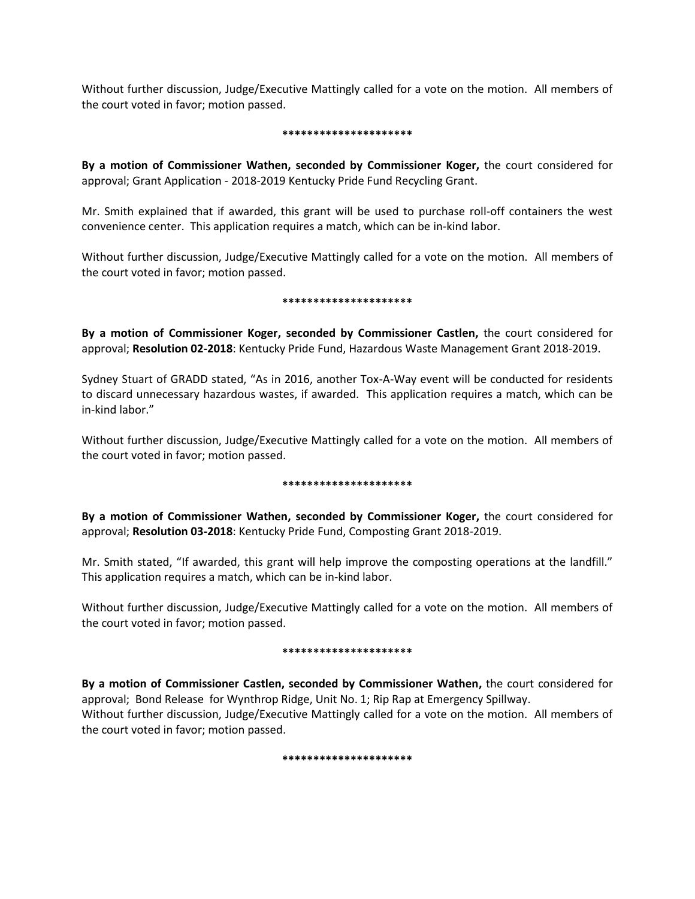Without further discussion, Judge/Executive Mattingly called for a vote on the motion. All members of the court voted in favor; motion passed.

#### **\*\*\*\*\*\*\*\*\*\*\*\*\*\*\*\*\*\*\*\*\***

**By a motion of Commissioner Wathen, seconded by Commissioner Koger,** the court considered for approval; Grant Application - 2018-2019 Kentucky Pride Fund Recycling Grant.

Mr. Smith explained that if awarded, this grant will be used to purchase roll-off containers the west convenience center. This application requires a match, which can be in-kind labor.

Without further discussion, Judge/Executive Mattingly called for a vote on the motion. All members of the court voted in favor; motion passed.

### **\*\*\*\*\*\*\*\*\*\*\*\*\*\*\*\*\*\*\*\*\***

**By a motion of Commissioner Koger, seconded by Commissioner Castlen,** the court considered for approval; **Resolution 02-2018**: Kentucky Pride Fund, Hazardous Waste Management Grant 2018-2019.

Sydney Stuart of GRADD stated, "As in 2016, another Tox-A-Way event will be conducted for residents to discard unnecessary hazardous wastes, if awarded. This application requires a match, which can be in-kind labor."

Without further discussion, Judge/Executive Mattingly called for a vote on the motion. All members of the court voted in favor; motion passed.

## **\*\*\*\*\*\*\*\*\*\*\*\*\*\*\*\*\*\*\*\*\***

**By a motion of Commissioner Wathen, seconded by Commissioner Koger,** the court considered for approval; **Resolution 03-2018**: Kentucky Pride Fund, Composting Grant 2018-2019.

Mr. Smith stated, "If awarded, this grant will help improve the composting operations at the landfill." This application requires a match, which can be in-kind labor.

Without further discussion, Judge/Executive Mattingly called for a vote on the motion. All members of the court voted in favor; motion passed.

## **\*\*\*\*\*\*\*\*\*\*\*\*\*\*\*\*\*\*\*\*\***

**By a motion of Commissioner Castlen, seconded by Commissioner Wathen,** the court considered for approval; Bond Release for Wynthrop Ridge, Unit No. 1; Rip Rap at Emergency Spillway. Without further discussion, Judge/Executive Mattingly called for a vote on the motion. All members of the court voted in favor; motion passed.

#### **\*\*\*\*\*\*\*\*\*\*\*\*\*\*\*\*\*\*\*\*\***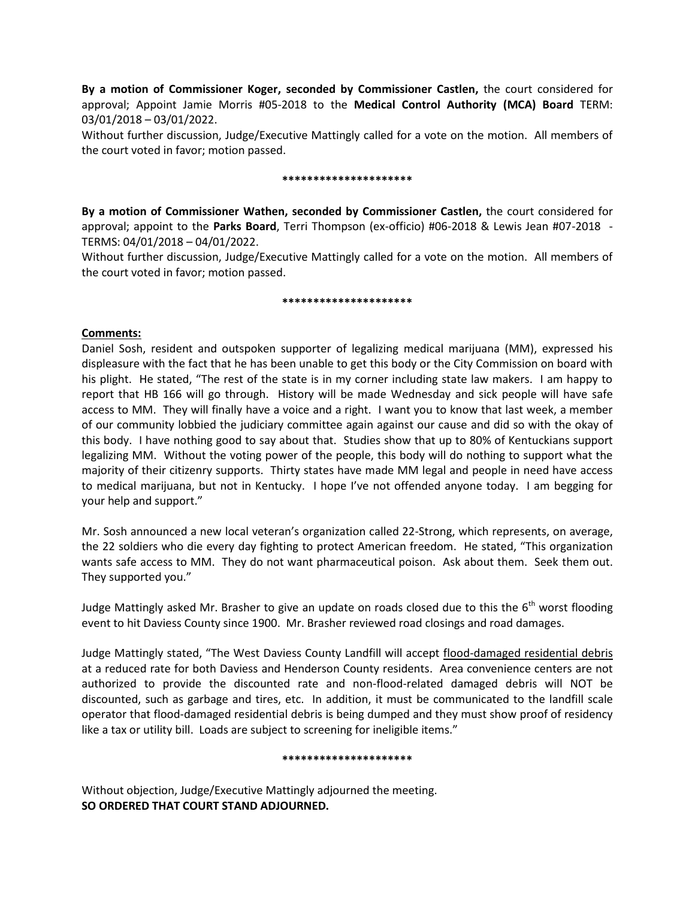**By a motion of Commissioner Koger, seconded by Commissioner Castlen,** the court considered for approval; Appoint Jamie Morris #05-2018 to the **Medical Control Authority (MCA) Board** TERM: 03/01/2018 – 03/01/2022.

Without further discussion, Judge/Executive Mattingly called for a vote on the motion. All members of the court voted in favor; motion passed.

#### **\*\*\*\*\*\*\*\*\*\*\*\*\*\*\*\*\*\*\*\*\***

**By a motion of Commissioner Wathen, seconded by Commissioner Castlen,** the court considered for approval; appoint to the **Parks Board**, Terri Thompson (ex-officio) #06-2018 & Lewis Jean #07-2018 - TERMS: 04/01/2018 – 04/01/2022.

Without further discussion, Judge/Executive Mattingly called for a vote on the motion. All members of the court voted in favor; motion passed.

#### **\*\*\*\*\*\*\*\*\*\*\*\*\*\*\*\*\*\*\*\*\***

## **Comments:**

Daniel Sosh, resident and outspoken supporter of legalizing medical marijuana (MM), expressed his displeasure with the fact that he has been unable to get this body or the City Commission on board with his plight. He stated, "The rest of the state is in my corner including state law makers. I am happy to report that HB 166 will go through. History will be made Wednesday and sick people will have safe access to MM. They will finally have a voice and a right. I want you to know that last week, a member of our community lobbied the judiciary committee again against our cause and did so with the okay of this body. I have nothing good to say about that. Studies show that up to 80% of Kentuckians support legalizing MM. Without the voting power of the people, this body will do nothing to support what the majority of their citizenry supports. Thirty states have made MM legal and people in need have access to medical marijuana, but not in Kentucky. I hope I've not offended anyone today. I am begging for your help and support."

Mr. Sosh announced a new local veteran's organization called 22-Strong, which represents, on average, the 22 soldiers who die every day fighting to protect American freedom. He stated, "This organization wants safe access to MM. They do not want pharmaceutical poison. Ask about them. Seek them out. They supported you."

Judge Mattingly asked Mr. Brasher to give an update on roads closed due to this the  $6<sup>th</sup>$  worst flooding event to hit Daviess County since 1900. Mr. Brasher reviewed road closings and road damages.

Judge Mattingly stated, "The West Daviess County Landfill will accept flood-damaged residential debris at a reduced rate for both Daviess and Henderson County residents. Area convenience centers are not authorized to provide the discounted rate and non-flood-related damaged debris will NOT be discounted, such as garbage and tires, etc. In addition, it must be communicated to the landfill scale operator that flood-damaged residential debris is being dumped and they must show proof of residency like a tax or utility bill. Loads are subject to screening for ineligible items."

#### **\*\*\*\*\*\*\*\*\*\*\*\*\*\*\*\*\*\*\*\*\***

Without objection, Judge/Executive Mattingly adjourned the meeting. **SO ORDERED THAT COURT STAND ADJOURNED.**